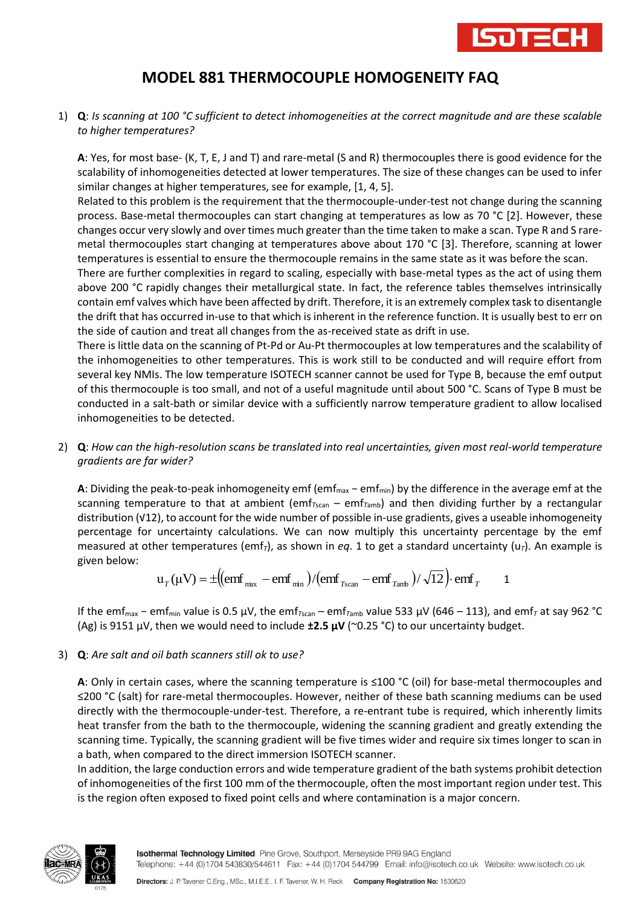

## **MODEL 881 THERMOCOUPLE HOMOGENEITY FAQ**

1) **Q**: *Is scanning at 100 °C sufficient to detect inhomogeneities at the correct magnitude and are these scalable to higher temperatures?*

**A**: Yes, for most base- (K, T, E, J and T) and rare-metal (S and R) thermocouples there is good evidence for the scalability of inhomogeneities detected at lower temperatures. The size of these changes can be used to infer similar changes at higher temperatures, see for example, [1, 4, 5].

Related to this problem is the requirement that the thermocouple-under-test not change during the scanning process. Base-metal thermocouples can start changing at temperatures as low as 70 °C [2]. However, these changes occur very slowly and over times much greater than the time taken to make a scan. Type R and S raremetal thermocouples start changing at temperatures above about 170 °C [3]. Therefore, scanning at lower temperatures is essential to ensure the thermocouple remains in the same state as it was before the scan.

There are further complexities in regard to scaling, especially with base-metal types as the act of using them above 200 °C rapidly changes their metallurgical state. In fact, the reference tables themselves intrinsically contain emf valves which have been affected by drift. Therefore, it is an extremely complex task to disentangle the drift that has occurred in-use to that which is inherent in the reference function. It is usually best to err on the side of caution and treat all changes from the as-received state as drift in use.

There is little data on the scanning of Pt-Pd or Au-Pt thermocouples at low temperatures and the scalability of the inhomogeneities to other temperatures. This is work still to be conducted and will require effort from several key NMIs. The low temperature ISOTECH scanner cannot be used for Type B, because the emf output of this thermocouple is too small, and not of a useful magnitude until about 500 °C. Scans of Type B must be conducted in a salt-bath or similar device with a sufficiently narrow temperature gradient to allow localised inhomogeneities to be detected.

2) **Q**: *How can the high-resolution scans be translated into real uncertainties, given most real-world temperature gradients are far wider?*

**A**: Dividing the peak-to-peak inhomogeneity emf (emf<sub>max</sub> − emf<sub>min</sub>) by the difference in the average emf at the scanning temperature to that at ambient (emf<sub>*Tscan* – emf<sub>*Tamb*</sub>) and then dividing further by a rectangular</sub> distribution (√12), to account for the wide number of possible in-use gradients, gives a useable inhomogeneity percentage for uncertainty calculations. We can now multiply this uncertainty percentage by the emf measured at other temperatures (emf<sub>*T*</sub>), as shown in *eq*. 1 to get a standard uncertainty ( $u<sub>T</sub>$ ). An example is given below:

$$
u_T(\mu V) = \pm \left( \left( \text{emf}_{\text{max}} - \text{emf}_{\text{min}} \right) / \left( \text{emf}_{\text{Tscan}} - \text{emf}_{\text{Tamb}} \right) / \sqrt{12} \right) \cdot \text{emf}_T \qquad 1
$$

If the emfmax − emfmin value is 0.5 µV, the emf*T*scan – emf*T*amb value 533 µV (646 – 113), and emf*<sup>T</sup>* at say 962 °C (Ag) is 9151  $\mu$ V, then we would need to include **±2.5**  $\mu$ **V** (~0.25 °C) to our uncertainty budget.

## 3) **Q**: *Are salt and oil bath scanners still ok to use?*

**A**: Only in certain cases, where the scanning temperature is ≤100 °C (oil) for base-metal thermocouples and ≤200 °C (salt) for rare-metal thermocouples. However, neither of these bath scanning mediums can be used directly with the thermocouple-under-test. Therefore, a re-entrant tube is required, which inherently limits heat transfer from the bath to the thermocouple, widening the scanning gradient and greatly extending the scanning time. Typically, the scanning gradient will be five times wider and require six times longer to scan in a bath, when compared to the direct immersion ISOTECH scanner.

In addition, the large conduction errors and wide temperature gradient of the bath systems prohibit detection of inhomogeneities of the first 100 mm of the thermocouple, often the most important region under test. This is the region often exposed to fixed point cells and where contamination is a major concern.